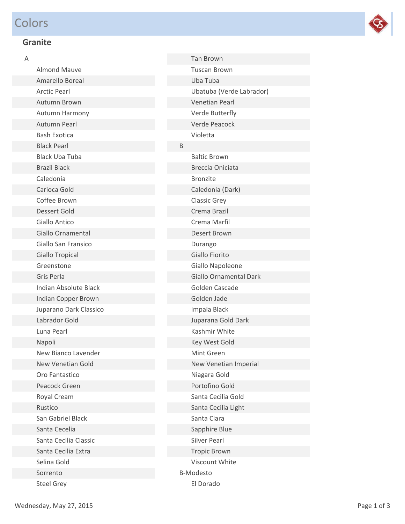# Colors



## **Granite**

| А |                              |
|---|------------------------------|
|   | <b>Almond Mauve</b>          |
|   | Amarello Boreal              |
|   | <b>Arctic Pearl</b>          |
|   | <b>Autumn Brown</b>          |
|   | Autumn Harmony               |
|   | Autumn Pearl                 |
|   | <b>Bash Exotica</b>          |
|   | <b>Black Pearl</b>           |
|   | <b>Black Uba Tuba</b>        |
|   | <b>Brazil Black</b>          |
|   | Caledonia                    |
|   | Carioca Gold                 |
|   | Coffee Brown                 |
|   | Dessert Gold                 |
|   | Giallo Antico                |
|   | Giallo Ornamental            |
|   | Giallo San Fransico          |
|   | Giallo Tropical              |
|   | Greenstone                   |
|   | Gris Perla                   |
|   | <b>Indian Absolute Black</b> |
|   | Indian Copper Brown          |
|   | Juparano Dark Classico       |
|   | Labrador Gold                |
|   | Luna Pearl                   |
|   | Napoli                       |
|   | New Bianco Lavender          |
|   | New Venetian Gold            |
|   | Oro Fantastico               |
|   | <b>Peacock Green</b>         |
|   | Royal Cream                  |
|   | Rustico                      |
|   | San Gabriel Black            |
|   | Santa Cecelia                |
|   | Santa Cecilia Classic        |
|   | Santa Cecilia Extra          |
|   | Selina Gold                  |
|   | Sorrento                     |
|   | <b>Steel Grey</b>            |

|   | <b>Tan Brown</b>              |
|---|-------------------------------|
|   | <b>Tuscan Brown</b>           |
|   | Uba Tuba                      |
|   | Ubatuba (Verde Labrador)      |
|   | <b>Venetian Pearl</b>         |
|   | Verde Butterfly               |
|   | <b>Verde Peacock</b>          |
|   | Violetta                      |
| B |                               |
|   | <b>Baltic Brown</b>           |
|   | <b>Breccia Oniciata</b>       |
|   | <b>Bronzite</b>               |
|   | Caledonia (Dark)              |
|   | <b>Classic Grey</b>           |
|   | Crema Brazil                  |
|   | Crema Marfil                  |
|   | Desert Brown                  |
|   | Durango                       |
|   | Giallo Fiorito                |
|   | Giallo Napoleone              |
|   | <b>Giallo Ornamental Dark</b> |
|   | Golden Cascade                |
|   | Golden Jade                   |
|   | Impala Black                  |
|   | Juparana Gold Dark            |
|   | Kashmir White                 |
|   | Key West Gold                 |
|   | Mint Green                    |
|   | New Venetian Imperial         |
|   | Niagara Gold                  |
|   | Portofino Gold                |
|   | Santa Cecilia Gold            |
|   | Santa Cecilia Light           |
|   | Santa Clara                   |
|   | Sapphire Blue                 |
|   | <b>Silver Pearl</b>           |
|   | <b>Tropic Brown</b>           |
|   | Viscount White                |
|   | <b>B-Modesto</b>              |
|   | El Dorado                     |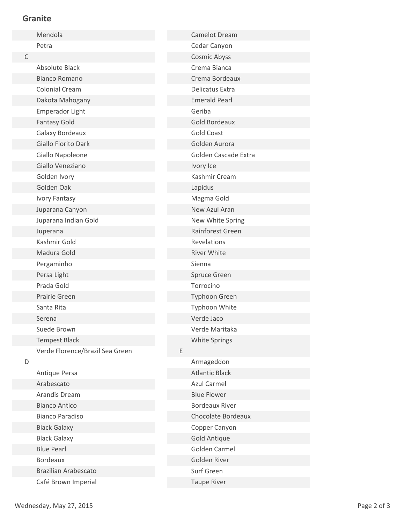#### **Granite**

|   | Mendola                         |   | <b>Camelot Dream</b>  |
|---|---------------------------------|---|-----------------------|
|   | Petra                           |   | Cedar Canyon          |
| C |                                 |   | <b>Cosmic Abyss</b>   |
|   | <b>Absolute Black</b>           |   | Crema Bianca          |
|   | <b>Bianco Romano</b>            |   | Crema Bordeaux        |
|   | <b>Colonial Cream</b>           |   | Delicatus Extra       |
|   | Dakota Mahogany                 |   | <b>Emerald Pearl</b>  |
|   | <b>Emperador Light</b>          |   | Geriba                |
|   | <b>Fantasy Gold</b>             |   | <b>Gold Bordeaux</b>  |
|   | Galaxy Bordeaux                 |   | <b>Gold Coast</b>     |
|   | <b>Giallo Fiorito Dark</b>      |   | Golden Aurora         |
|   | Giallo Napoleone                |   | Golden Cascade Extra  |
|   | Giallo Veneziano                |   | Ivory Ice             |
|   | Golden Ivory                    |   | Kashmir Cream         |
|   | Golden Oak                      |   | Lapidus               |
|   | Ivory Fantasy                   |   | Magma Gold            |
|   | Juparana Canyon                 |   | New Azul Aran         |
|   | Juparana Indian Gold            |   | New White Spring      |
|   | Juperana                        |   | Rainforest Green      |
|   | Kashmir Gold                    |   | Revelations           |
|   | Madura Gold                     |   | <b>River White</b>    |
|   | Pergaminho                      |   | Sienna                |
|   | Persa Light                     |   | Spruce Green          |
|   | Prada Gold                      |   | Torrocino             |
|   | Prairie Green                   |   | <b>Typhoon Green</b>  |
|   | Santa Rita                      |   | Typhoon White         |
|   | Serena                          |   | Verde Jaco            |
|   | Suede Brown                     |   | Verde Maritaka        |
|   | <b>Tempest Black</b>            |   | <b>White Springs</b>  |
|   | Verde Florence/Brazil Sea Green | E |                       |
| D |                                 |   | Armageddon            |
|   | Antique Persa                   |   | <b>Atlantic Black</b> |
|   | Arabescato                      |   | <b>Azul Carmel</b>    |
|   | Arandis Dream                   |   | <b>Blue Flower</b>    |
|   | <b>Bianco Antico</b>            |   | <b>Bordeaux River</b> |
|   | <b>Bianco Paradiso</b>          |   | Chocolate Bordeaux    |
|   | <b>Black Galaxy</b>             |   | Copper Canyon         |
|   | <b>Black Galaxy</b>             |   | <b>Gold Antique</b>   |
|   | <b>Blue Pearl</b>               |   | Golden Carmel         |
|   | <b>Bordeaux</b>                 |   | Golden River          |
|   | <b>Brazilian Arabescato</b>     |   | Surf Green            |
|   | Café Brown Imperial             |   | <b>Taupe River</b>    |